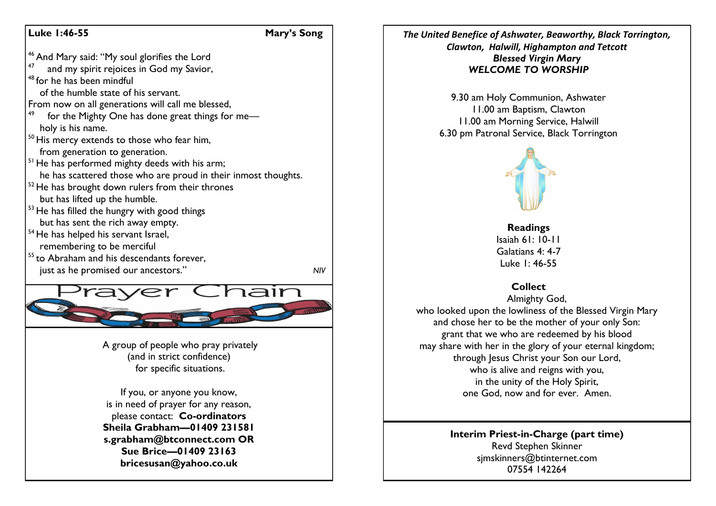## **Luke 1:46-55 Mary's Song**



*The United Benefice of Ashwater, Beaworthy, Black Torrington, Clawton, Halwill, Highampton and Tetcott Blessed Virgin Mary WELCOME TO WORSHIP*

> 9.30 am Holy Communion, Ashwater 11.00 am Baptism, Clawton 11.00 am Morning Service, Halwill 6.30 pm Patronal Service, Black Torrington



**Readings** Isaiah 61: 10-11 Galatians 4: 4-7 Luke 1: 46-55

# **Collect**

Almighty God, who looked upon the lowliness of the Blessed Virgin Mary and chose her to be the mother of your only Son: grant that we who are redeemed by his blood may share with her in the glory of your eternal kingdom; through Jesus Christ your Son our Lord, who is alive and reigns with you, in the unity of the Holy Spirit, one God, now and for ever. Amen.

> **Interim Priest-in-Charge (part time)** Revd Stephen Skinner [sjmskinners@btinternet.com](mailto:sjmskinners@btinternet.com) 07554 142264